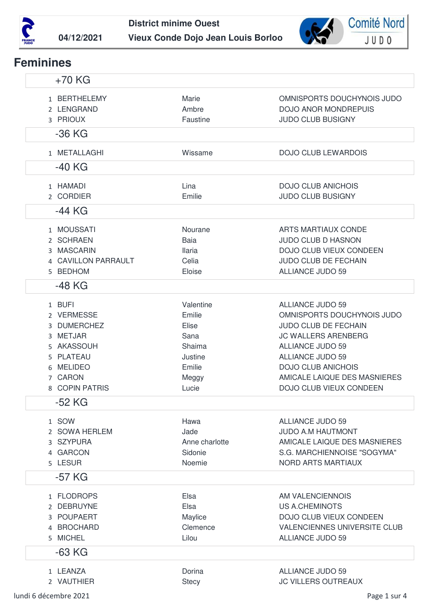



## **Feminines**

| $+70$ KG                                                                                                             |                                                                                       |                                                                                                                                                                                                                                                           |
|----------------------------------------------------------------------------------------------------------------------|---------------------------------------------------------------------------------------|-----------------------------------------------------------------------------------------------------------------------------------------------------------------------------------------------------------------------------------------------------------|
| 1 BERTHELEMY<br>2 LENGRAND<br>3 PRIOUX                                                                               | Marie<br>Ambre<br>Faustine                                                            | OMNISPORTS DOUCHYNOIS JUDO<br><b>DOJO ANOR MONDREPUIS</b><br><b>JUDO CLUB BUSIGNY</b>                                                                                                                                                                     |
| $-36$ KG                                                                                                             |                                                                                       |                                                                                                                                                                                                                                                           |
| 1 METALLAGHI                                                                                                         | Wissame                                                                               | <b>DOJO CLUB LEWARDOIS</b>                                                                                                                                                                                                                                |
| -40 KG                                                                                                               |                                                                                       |                                                                                                                                                                                                                                                           |
| 1 HAMADI<br>2 CORDIER<br>-44 KG                                                                                      | Lina<br>Emilie                                                                        | <b>DOJO CLUB ANICHOIS</b><br><b>JUDO CLUB BUSIGNY</b>                                                                                                                                                                                                     |
| 1 MOUSSATI<br>2 SCHRAEN<br>3 MASCARIN<br>4 CAVILLON PARRAULT<br>5 BEDHOM<br>-48 KG                                   | Nourane<br>Baia<br><b>Ilaria</b><br>Celia<br>Eloise                                   | ARTS MARTIAUX CONDE<br><b>JUDO CLUB D HASNON</b><br>DOJO CLUB VIEUX CONDEEN<br><b>JUDO CLUB DE FECHAIN</b><br><b>ALLIANCE JUDO 59</b>                                                                                                                     |
| 1 BUFI<br>2 VERMESSE<br>3 DUMERCHEZ<br>3 METJAR<br>5 AKASSOUH<br>5 PLATEAU<br>6 MELIDEO<br>7 CARON<br>8 COPIN PATRIS | Valentine<br>Emilie<br>Elise<br>Sana<br>Shaima<br>Justine<br>Emilie<br>Meggy<br>Lucie | ALLIANCE JUDO 59<br>OMNISPORTS DOUCHYNOIS JUDO<br><b>JUDO CLUB DE FECHAIN</b><br><b>JC WALLERS ARENBERG</b><br><b>ALLIANCE JUDO 59</b><br><b>ALLIANCE JUDO 59</b><br><b>DOJO CLUB ANICHOIS</b><br>AMICALE LAIQUE DES MASNIERES<br>DOJO CLUB VIEUX CONDEEN |
| $-52$ KG                                                                                                             |                                                                                       |                                                                                                                                                                                                                                                           |
| 1 SOW<br>2 SOWA HERLEM<br>3 SZYPURA<br>4 GARCON<br>5 LESUR                                                           | Hawa<br>Jade<br>Anne charlotte<br>Sidonie<br>Noemie                                   | <b>ALLIANCE JUDO 59</b><br><b>JUDO A.M HAUTMONT</b><br>AMICALE LAIQUE DES MASNIERES<br>S.G. MARCHIENNOISE "SOGYMA"<br><b>NORD ARTS MARTIAUX</b>                                                                                                           |
| $-57$ KG                                                                                                             |                                                                                       |                                                                                                                                                                                                                                                           |
| 1 FLODROPS<br>2 DEBRUYNE<br>3 POUPAERT<br>4 BROCHARD<br>5 MICHEL<br>$-63$ KG                                         | Elsa<br>Elsa<br>Maylice<br>Clemence<br>Lilou                                          | AM VALENCIENNOIS<br><b>US A.CHEMINOTS</b><br>DOJO CLUB VIEUX CONDEEN<br>VALENCIENNES UNIVERSITE CLUB<br><b>ALLIANCE JUDO 59</b>                                                                                                                           |
| 1 LEANZA<br>2 VAUTHIER                                                                                               | Dorina<br><b>Stecy</b>                                                                | <b>ALLIANCE JUDO 59</b><br><b>JC VILLERS OUTREAUX</b>                                                                                                                                                                                                     |

lundi 6 décembre 2021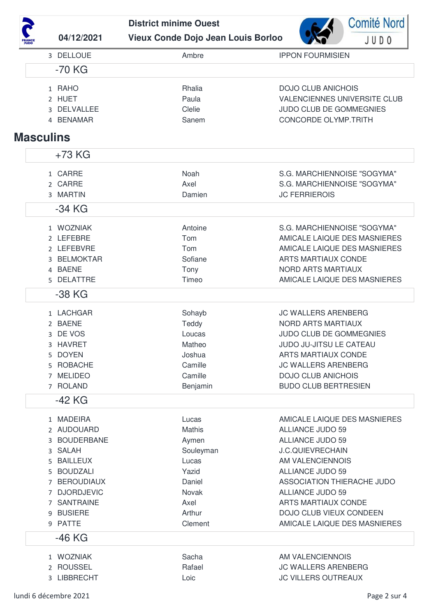| <b>FRANCE</b><br>JUDO |
|-----------------------|

**District minime Ouest** Vieux Conde Dojo Jean Louis Borloo 04/12/2021



| 3 DELLOUE        | Ambre     | <b>IPPON FOURMISIEN</b>             |
|------------------|-----------|-------------------------------------|
| $-70$ KG         |           |                                     |
| 1 RAHO           | Rhalia    | <b>DOJO CLUB ANICHOIS</b>           |
| 2 HUET           | Paula     | <b>VALENCIENNES UNIVERSITE CLUB</b> |
| 3 DELVALLEE      | Clelie    | JUDO CLUB DE GOMMEGNIES             |
| 4 BENAMAR        | Sanem     | <b>CONCORDE OLYMP.TRITH</b>         |
|                  |           |                                     |
| <b>Masculins</b> |           |                                     |
| +73 KG           |           |                                     |
| 1 CARRE          | Noah      | S.G. MARCHIENNOISE "SOGYMA"         |
| 2 CARRE          | Axel      | S.G. MARCHIENNOISE "SOGYMA"         |
| 3 MARTIN         | Damien    | <b>JC FERRIEROIS</b>                |
| $-34$ KG         |           |                                     |
| 1 WOZNIAK        | Antoine   | S.G. MARCHIENNOISE "SOGYMA"         |
| 2 LEFEBRE        | Tom       | AMICALE LAIQUE DES MASNIERES        |
| 2 LEFEBVRE       | Tom       | AMICALE LAIQUE DES MASNIERES        |
| 3 BELMOKTAR      | Sofiane   | <b>ARTS MARTIAUX CONDE</b>          |
| 4 BAENE          | Tony      | <b>NORD ARTS MARTIAUX</b>           |
| 5 DELATTRE       | Timeo     | AMICALE LAIQUE DES MASNIERES        |
| -38 KG           |           |                                     |
| 1 LACHGAR        | Sohayb    | <b>JC WALLERS ARENBERG</b>          |
| 2 BAENE          | Teddy     | <b>NORD ARTS MARTIAUX</b>           |
| 3 DE VOS         | Loucas    | JUDO CLUB DE GOMMEGNIES             |
| 3 HAVRET         | Matheo    | JUDO JU-JITSU LE CATEAU             |
| 5 DOYEN          | Joshua    | <b>ARTS MARTIAUX CONDE</b>          |
| 5 ROBACHE        | Camille   | <b>JC WALLERS ARENBERG</b>          |
| 7 MELIDEO        | Camille   | <b>DOJO CLUB ANICHOIS</b>           |
| 7 ROLAND         | Benjamin  | <b>BUDO CLUB BERTRESIEN</b>         |
| -42 KG           |           |                                     |
| 1 MADEIRA        | Lucas     | AMICALE LAIQUE DES MASNIERES        |
| 2 AUDOUARD       | Mathis    | <b>ALLIANCE JUDO 59</b>             |
| 3 BOUDERBANE     | Aymen     | <b>ALLIANCE JUDO 59</b>             |
| 3 SALAH          | Souleyman | <b>J.C.QUIEVRECHAIN</b>             |
| 5 BAILLEUX       | Lucas     | AM VALENCIENNOIS                    |
| 5 BOUDZALI       | Yazid     | <b>ALLIANCE JUDO 59</b>             |
| 7 BEROUDIAUX     | Daniel    | ASSOCIATION THIERACHE JUDO          |
| 7 DJORDJEVIC     | Novak     | <b>ALLIANCE JUDO 59</b>             |
| 7 SANTRAINE      | Axel      | <b>ARTS MARTIAUX CONDE</b>          |
| 9 BUSIERE        | Arthur    | DOJO CLUB VIEUX CONDEEN             |
| 9 PATTE          | Clement   | AMICALE LAIQUE DES MASNIERES        |
| $-46$ KG         |           |                                     |
| 1 WOZNIAK        | Sacha     | AM VALENCIENNOIS                    |
| 2 ROUSSEL        | Rafael    | <b>JC WALLERS ARENBERG</b>          |
| 3 LIBBRECHT      | Loic      | <b>JC VILLERS OUTREAUX</b>          |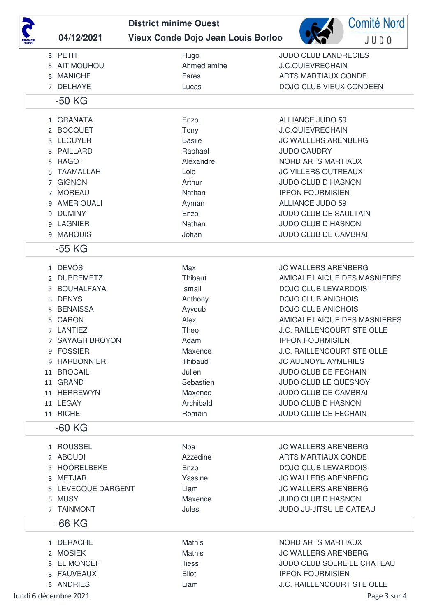|   |                    | <b>District minime Ouest</b> |                                           |                                   | <b>Comité Nord</b> |
|---|--------------------|------------------------------|-------------------------------------------|-----------------------------------|--------------------|
|   | 04/12/2021         |                              | <b>Vieux Conde Dojo Jean Louis Borloo</b> |                                   | JUD0               |
|   | 3 PETIT            |                              | Hugo                                      | <b>JUDO CLUB LANDRECIES</b>       |                    |
|   | 5 AIT MOUHOU       |                              | Ahmed amine                               | <b>J.C.QUIEVRECHAIN</b>           |                    |
| 5 | <b>MANICHE</b>     |                              | Fares                                     | <b>ARTS MARTIAUX CONDE</b>        |                    |
|   | 7 DELHAYE          |                              | Lucas                                     | DOJO CLUB VIEUX CONDEEN           |                    |
|   | $-50$ KG           |                              |                                           |                                   |                    |
|   | 1 GRANATA          |                              | Enzo                                      | <b>ALLIANCE JUDO 59</b>           |                    |
|   | 2 BOCQUET          |                              | Tony                                      | <b>J.C.QUIEVRECHAIN</b>           |                    |
|   | 3 LECUYER          |                              | <b>Basile</b>                             | <b>JC WALLERS ARENBERG</b>        |                    |
| 3 | PAILLARD           |                              | Raphael                                   | <b>JUDO CAUDRY</b>                |                    |
| 5 | <b>RAGOT</b>       |                              | Alexandre                                 | <b>NORD ARTS MARTIAUX</b>         |                    |
| 5 | <b>TAAMALLAH</b>   |                              | Loic                                      | <b>JC VILLERS OUTREAUX</b>        |                    |
| 7 | <b>GIGNON</b>      |                              | Arthur                                    | <b>JUDO CLUB D HASNON</b>         |                    |
| 7 | <b>MOREAU</b>      |                              | Nathan                                    | <b>IPPON FOURMISIEN</b>           |                    |
| 9 | <b>AMER OUALI</b>  |                              | Ayman                                     | <b>ALLIANCE JUDO 59</b>           |                    |
| 9 | <b>DUMINY</b>      |                              | Enzo                                      | JUDO CLUB DE SAULTAIN             |                    |
| 9 | <b>LAGNIER</b>     |                              | Nathan                                    | <b>JUDO CLUB D HASNON</b>         |                    |
|   | 9 MARQUIS          |                              | Johan                                     | JUDO CLUB DE CAMBRAI              |                    |
|   | $-55$ KG           |                              |                                           |                                   |                    |
|   | 1 DEVOS            |                              | Max                                       | <b>JC WALLERS ARENBERG</b>        |                    |
|   | 2 DUBREMETZ        |                              | Thibaut                                   | AMICALE LAIQUE DES MASNIERES      |                    |
| 3 | <b>BOUHALFAYA</b>  |                              | Ismail                                    | <b>DOJO CLUB LEWARDOIS</b>        |                    |
| 3 | <b>DENYS</b>       |                              | Anthony                                   | <b>DOJO CLUB ANICHOIS</b>         |                    |
| 5 | <b>BENAISSA</b>    |                              | Ayyoub                                    | <b>DOJO CLUB ANICHOIS</b>         |                    |
| 5 | <b>CARON</b>       |                              | Alex                                      | AMICALE LAIQUE DES MASNIERES      |                    |
|   | 7 LANTIEZ          |                              | Theo                                      | J.C. RAILLENCOURT STE OLLE        |                    |
|   | 7 SAYAGH BROYON    |                              | Adam                                      | <b>IPPON FOURMISIEN</b>           |                    |
|   | 9 FOSSIER          |                              | Maxence                                   | <b>J.C. RAILLENCOURT STE OLLE</b> |                    |
|   | 9 HARBONNIER       |                              | Thibaud                                   | <b>JC AULNOYE AYMERIES</b>        |                    |
|   | 11 BROCAIL         |                              | Julien                                    | <b>JUDO CLUB DE FECHAIN</b>       |                    |
|   | 11 GRAND           |                              | Sebastien                                 | <b>JUDO CLUB LE QUESNOY</b>       |                    |
|   | 11 HERREWYN        |                              | Maxence                                   | <b>JUDO CLUB DE CAMBRAI</b>       |                    |
|   | 11 LEGAY           |                              | Archibald                                 | <b>JUDO CLUB D HASNON</b>         |                    |
|   | 11 RICHE           |                              | Romain                                    | JUDO CLUB DE FECHAIN              |                    |
|   | $-60$ KG           |                              |                                           |                                   |                    |
|   | 1 ROUSSEL          |                              | Noa                                       | <b>JC WALLERS ARENBERG</b>        |                    |
|   | 2 ABOUDI           |                              | Azzedine                                  | <b>ARTS MARTIAUX CONDE</b>        |                    |
|   | 3 HOORELBEKE       |                              | Enzo                                      | <b>DOJO CLUB LEWARDOIS</b>        |                    |
| 3 | <b>METJAR</b>      |                              | Yassine                                   | <b>JC WALLERS ARENBERG</b>        |                    |
|   | 5 LEVECQUE DARGENT |                              | Liam                                      | <b>JC WALLERS ARENBERG</b>        |                    |
|   | 5 MUSY             |                              | Maxence                                   | <b>JUDO CLUB D HASNON</b>         |                    |
|   | 7 TAINMONT         |                              | Jules                                     | JUDO JU-JITSU LE CATEAU           |                    |
|   | $-66$ KG           |                              |                                           |                                   |                    |
|   | 1 DERACHE          |                              | <b>Mathis</b>                             | NORD ARTS MARTIAUX                |                    |
|   | 2 MOSIEK           |                              | Mathis                                    | <b>JC WALLERS ARENBERG</b>        |                    |
|   | 3 EL MONCEF        |                              | <b>Iliess</b>                             | JUDO CLUB SOLRE LE CHATEAU        |                    |
|   | 3 FAUVEAUX         |                              | Eliot                                     | <b>IPPON FOURMISIEN</b>           |                    |
|   | 5 ANDRIES          |                              | Liam                                      | J.C. RAILLENCOURT STE OLLE        |                    |

lundi 6 décembre 2021 **Page 3 sur 4**